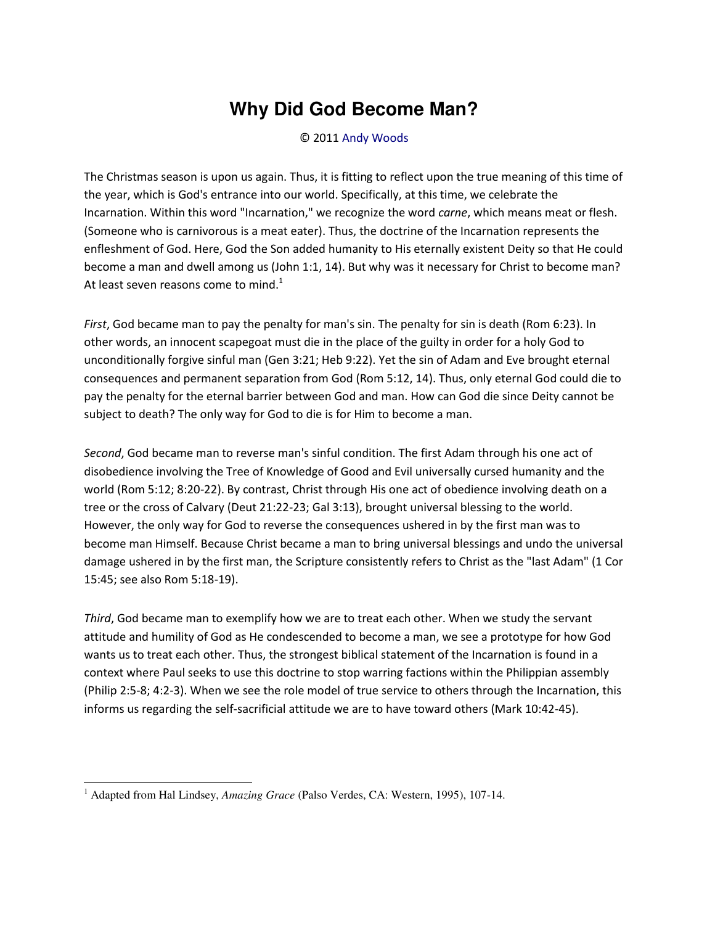## **Why Did God Become Man?**

## © 2011 [Andy Woods](http://www.spiritandtruth.org/id/aw.htm)

The Christmas season is upon us again. Thus, it is fitting to reflect upon the true meaning of this time of the year, which is God's entrance into our world. Specifically, at this time, we celebrate the Incarnation. Within this word "Incarnation," we recognize the word *carne*, which means meat or flesh. (Someone who is carnivorous is a meat eater). Thus, the doctrine of the Incarnation represents the enfleshment of God. Here, God the Son added humanity to His eternally existent Deity so that He could become a man and dwell among us (John 1:1, 14). But why was it necessary for Christ to become man? At least seven reasons come to mind.<sup>1</sup>

*First*, God became man to pay the penalty for man's sin. The penalty for sin is death (Rom 6:23). In other words, an innocent scapegoat must die in the place of the guilty in order for a holy God to unconditionally forgive sinful man (Gen 3:21; Heb 9:22). Yet the sin of Adam and Eve brought eternal consequences and permanent separation from God (Rom 5:12, 14). Thus, only eternal God could die to pay the penalty for the eternal barrier between God and man. How can God die since Deity cannot be subject to death? The only way for God to die is for Him to become a man.

*Second*, God became man to reverse man's sinful condition. The first Adam through his one act of disobedience involving the Tree of Knowledge of Good and Evil universally cursed humanity and the world (Rom 5:12; 8:20-22). By contrast, Christ through His one act of obedience involving death on a tree or the cross of Calvary (Deut 21:22-23; Gal 3:13), brought universal blessing to the world. However, the only way for God to reverse the consequences ushered in by the first man was to become man Himself. Because Christ became a man to bring universal blessings and undo the universal damage ushered in by the first man, the Scripture consistently refers to Christ as the "last Adam" (1 Cor 15:45; see also Rom 5:18-19).

*Third*, God became man to exemplify how we are to treat each other. When we study the servant attitude and humility of God as He condescended to become a man, we see a prototype for how God wants us to treat each other. Thus, the strongest biblical statement of the Incarnation is found in a context where Paul seeks to use this doctrine to stop warring factions within the Philippian assembly (Philip 2:5-8; 4:2-3). When we see the role model of true service to others through the Incarnation, this informs us regarding the self-sacrificial attitude we are to have toward others (Mark 10:42-45).

l

<sup>&</sup>lt;sup>1</sup> Adapted from Hal Lindsey, *Amazing Grace* (Palso Verdes, CA: Western, 1995), 107-14.